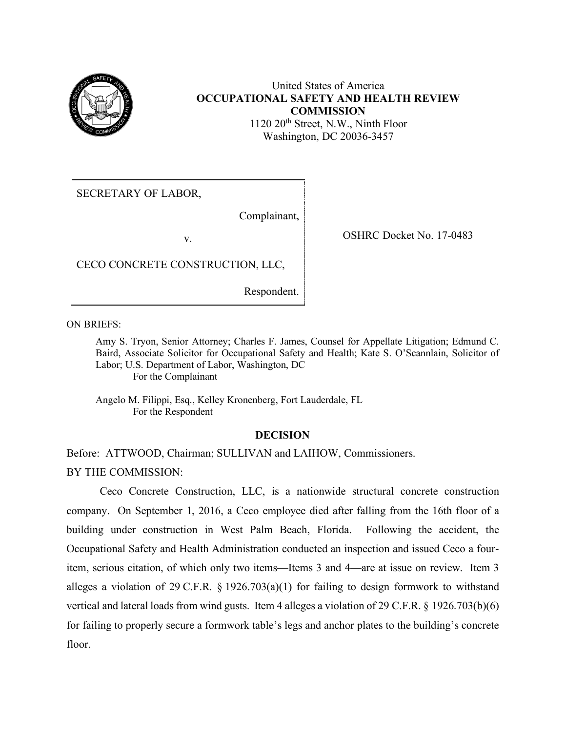

# United States of America **OCCUPATIONAL SAFETY AND HEALTH REVIEW COMMISSION**

1120 20<sup>th</sup> Street, N.W., Ninth Floor Washington, DC 20036-3457

SECRETARY OF LABOR,

Complainant,

v. OSHRC Docket No. 17-0483

CECO CONCRETE CONSTRUCTION, LLC,

Respondent.

ON BRIEFS:

Amy S. Tryon, Senior Attorney; Charles F. James, Counsel for Appellate Litigation; Edmund C. Baird, Associate Solicitor for Occupational Safety and Health; Kate S. O'Scannlain, Solicitor of Labor; U.S. Department of Labor, Washington, DC For the Complainant

Angelo M. Filippi, Esq., Kelley Kronenberg, Fort Lauderdale, FL For the Respondent

### **DECISION**

Before: ATTWOOD, Chairman; SULLIVAN and LAIHOW, Commissioners.

BY THE COMMISSION:

Ceco Concrete Construction, LLC, is a nationwide structural concrete construction company. On September 1, 2016, a Ceco employee died after falling from the 16th floor of a building under construction in West Palm Beach, Florida. Following the accident, the Occupational Safety and Health Administration conducted an inspection and issued Ceco a fouritem, serious citation, of which only two items—Items 3 and 4—are at issue on review. Item 3 alleges a violation of 29 C.F.R. § 1926.703(a)(1) for failing to design formwork to withstand vertical and lateral loads from wind gusts. Item 4 alleges a violation of 29 C.F.R. § 1926.703(b)(6) for failing to properly secure a formwork table's legs and anchor plates to the building's concrete floor.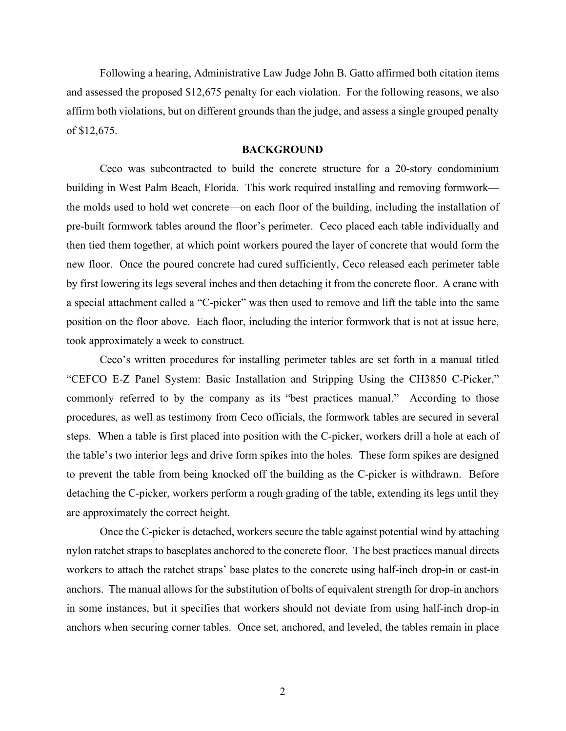Following a hearing, Administrative Law Judge John B. Gatto affirmed both citation items and assessed the proposed \$12,675 penalty for each violation. For the following reasons, we also affirm both violations, but on different grounds than the judge, and assess a single grouped penalty of \$12,675.

### **BACKGROUND**

Ceco was subcontracted to build the concrete structure for a 20-story condominium building in West Palm Beach, Florida. This work required installing and removing formwork the molds used to hold wet concrete—on each floor of the building, including the installation of pre-built formwork tables around the floor's perimeter. Ceco placed each table individually and then tied them together, at which point workers poured the layer of concrete that would form the new floor. Once the poured concrete had cured sufficiently, Ceco released each perimeter table by first lowering its legs several inches and then detaching it from the concrete floor. A crane with a special attachment called a "C-picker" was then used to remove and lift the table into the same position on the floor above. Each floor, including the interior formwork that is not at issue here, took approximately a week to construct.

Ceco's written procedures for installing perimeter tables are set forth in a manual titled "CEFCO E-Z Panel System: Basic Installation and Stripping Using the CH3850 C-Picker," commonly referred to by the company as its "best practices manual." According to those procedures, as well as testimony from Ceco officials, the formwork tables are secured in several steps. When a table is first placed into position with the C-picker, workers drill a hole at each of the table's two interior legs and drive form spikes into the holes. These form spikes are designed to prevent the table from being knocked off the building as the C-picker is withdrawn. Before detaching the C-picker, workers perform a rough grading of the table, extending its legs until they are approximately the correct height.

Once the C-picker is detached, workers secure the table against potential wind by attaching nylon ratchet straps to baseplates anchored to the concrete floor. The best practices manual directs workers to attach the ratchet straps' base plates to the concrete using half-inch drop-in or cast-in anchors. The manual allows for the substitution of bolts of equivalent strength for drop-in anchors in some instances, but it specifies that workers should not deviate from using half-inch drop-in anchors when securing corner tables. Once set, anchored, and leveled, the tables remain in place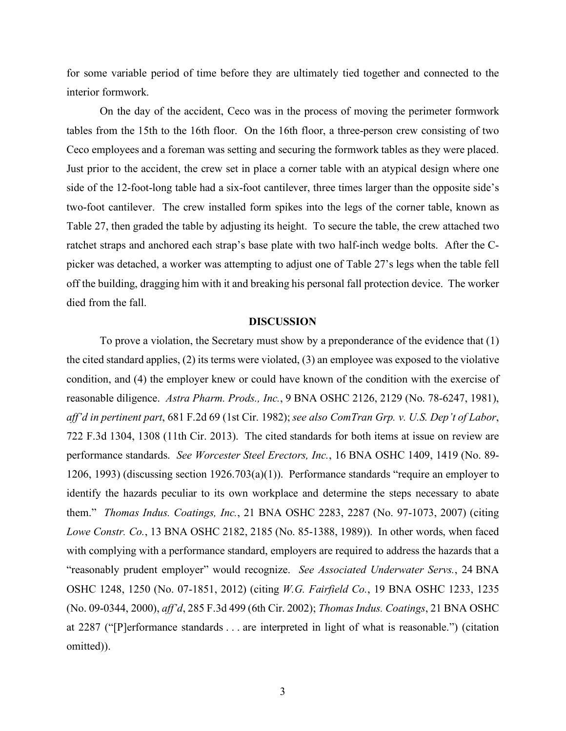for some variable period of time before they are ultimately tied together and connected to the interior formwork.

On the day of the accident, Ceco was in the process of moving the perimeter formwork tables from the 15th to the 16th floor. On the 16th floor, a three-person crew consisting of two Ceco employees and a foreman was setting and securing the formwork tables as they were placed. Just prior to the accident, the crew set in place a corner table with an atypical design where one side of the 12-foot-long table had a six-foot cantilever, three times larger than the opposite side's two-foot cantilever. The crew installed form spikes into the legs of the corner table, known as Table 27, then graded the table by adjusting its height. To secure the table, the crew attached two ratchet straps and anchored each strap's base plate with two half-inch wedge bolts. After the Cpicker was detached, a worker was attempting to adjust one of Table 27's legs when the table fell off the building, dragging him with it and breaking his personal fall protection device. The worker died from the fall.

### **DISCUSSION**

To prove a violation, the Secretary must show by a preponderance of the evidence that (1) the cited standard applies, (2) its terms were violated, (3) an employee was exposed to the violative condition, and (4) the employer knew or could have known of the condition with the exercise of reasonable diligence. *Astra Pharm. Prods., Inc.*, 9 BNA OSHC 2126, 2129 (No. 78-6247, 1981), *aff'd in pertinent part*, 681 F.2d 69 (1st Cir. 1982); *see also ComTran Grp. v. U.S. Dep't of Labor*, 722 F.3d 1304, 1308 (11th Cir. 2013). The cited standards for both items at issue on review are performance standards. *See Worcester Steel Erectors, Inc.*, 16 BNA OSHC 1409, 1419 (No. 89- 1206, 1993) (discussing section 1926.703(a)(1)). Performance standards "require an employer to identify the hazards peculiar to its own workplace and determine the steps necessary to abate them." *Thomas Indus. Coatings, Inc.*, 21 BNA OSHC 2283, 2287 (No. 97-1073, 2007) (citing *Lowe Constr. Co.*, 13 BNA OSHC 2182, 2185 (No. 85-1388, 1989)). In other words, when faced with complying with a performance standard, employers are required to address the hazards that a "reasonably prudent employer" would recognize. *See Associated Underwater Servs.*, 24 BNA OSHC 1248, 1250 (No. 07-1851, 2012) (citing *W.G. Fairfield Co.*, 19 BNA OSHC 1233, 1235 (No. 09-0344, 2000), *aff'd*, 285 F.3d 499 (6th Cir. 2002); *Thomas Indus. Coatings*, 21 BNA OSHC at 2287 ("[P]erformance standards . . . are interpreted in light of what is reasonable.") (citation omitted)).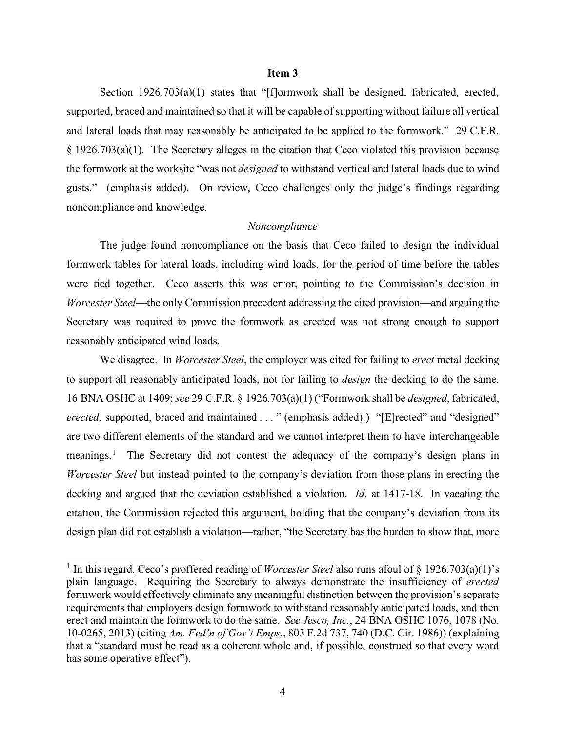### **Item 3**

Section 1926.703(a)(1) states that "[f]ormwork shall be designed, fabricated, erected, supported, braced and maintained so that it will be capable of supporting without failure all vertical and lateral loads that may reasonably be anticipated to be applied to the formwork." 29 C.F.R. § 1926.703(a)(1). The Secretary alleges in the citation that Ceco violated this provision because the formwork at the worksite "was not *designed* to withstand vertical and lateral loads due to wind gusts." (emphasis added). On review, Ceco challenges only the judge's findings regarding noncompliance and knowledge.

### *Noncompliance*

The judge found noncompliance on the basis that Ceco failed to design the individual formwork tables for lateral loads, including wind loads, for the period of time before the tables were tied together. Ceco asserts this was error, pointing to the Commission's decision in *Worcester Steel*—the only Commission precedent addressing the cited provision—and arguing the Secretary was required to prove the formwork as erected was not strong enough to support reasonably anticipated wind loads.

We disagree. In *Worcester Steel*, the employer was cited for failing to *erect* metal decking to support all reasonably anticipated loads, not for failing to *design* the decking to do the same. 16 BNA OSHC at 1409; *see* 29 C.F.R. § 1926.703(a)(1) ("Formwork shall be *designed*, fabricated, *erected*, supported, braced and maintained . . . " (emphasis added).) "[E]rected" and "designed" are two different elements of the standard and we cannot interpret them to have interchangeable meanings.<sup>[1](#page-3-0)</sup> The Secretary did not contest the adequacy of the company's design plans in *Worcester Steel* but instead pointed to the company's deviation from those plans in erecting the decking and argued that the deviation established a violation. *Id.* at 1417-18. In vacating the citation, the Commission rejected this argument, holding that the company's deviation from its design plan did not establish a violation—rather, "the Secretary has the burden to show that, more

<span id="page-3-0"></span><sup>&</sup>lt;sup>1</sup> In this regard, Ceco's proffered reading of *Worcester Steel* also runs afoul of § 1926.703(a)(1)'s plain language. Requiring the Secretary to always demonstrate the insufficiency of *erected* formwork would effectively eliminate any meaningful distinction between the provision's separate requirements that employers design formwork to withstand reasonably anticipated loads, and then erect and maintain the formwork to do the same. *See Jesco, Inc.*, 24 BNA OSHC 1076, 1078 (No. 10-0265, 2013) (citing *Am. Fed'n of Gov't Emps.*, 803 F.2d 737, 740 (D.C. Cir. 1986)) (explaining that a "standard must be read as a coherent whole and, if possible, construed so that every word has some operative effect").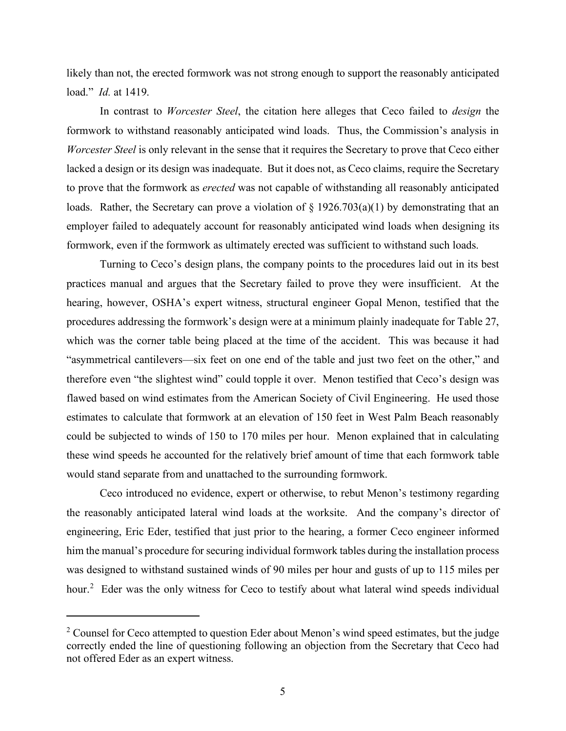likely than not, the erected formwork was not strong enough to support the reasonably anticipated load." *Id.* at 1419.

In contrast to *Worcester Steel*, the citation here alleges that Ceco failed to *design* the formwork to withstand reasonably anticipated wind loads. Thus, the Commission's analysis in *Worcester Steel* is only relevant in the sense that it requires the Secretary to prove that Ceco either lacked a design or its design was inadequate. But it does not, as Ceco claims, require the Secretary to prove that the formwork as *erected* was not capable of withstanding all reasonably anticipated loads. Rather, the Secretary can prove a violation of  $\S 1926.703(a)(1)$  by demonstrating that an employer failed to adequately account for reasonably anticipated wind loads when designing its formwork, even if the formwork as ultimately erected was sufficient to withstand such loads.

Turning to Ceco's design plans, the company points to the procedures laid out in its best practices manual and argues that the Secretary failed to prove they were insufficient. At the hearing, however, OSHA's expert witness, structural engineer Gopal Menon, testified that the procedures addressing the formwork's design were at a minimum plainly inadequate for Table 27, which was the corner table being placed at the time of the accident. This was because it had "asymmetrical cantilevers—six feet on one end of the table and just two feet on the other," and therefore even "the slightest wind" could topple it over. Menon testified that Ceco's design was flawed based on wind estimates from the American Society of Civil Engineering. He used those estimates to calculate that formwork at an elevation of 150 feet in West Palm Beach reasonably could be subjected to winds of 150 to 170 miles per hour. Menon explained that in calculating these wind speeds he accounted for the relatively brief amount of time that each formwork table would stand separate from and unattached to the surrounding formwork.

Ceco introduced no evidence, expert or otherwise, to rebut Menon's testimony regarding the reasonably anticipated lateral wind loads at the worksite. And the company's director of engineering, Eric Eder, testified that just prior to the hearing, a former Ceco engineer informed him the manual's procedure for securing individual formwork tables during the installation process was designed to withstand sustained winds of 90 miles per hour and gusts of up to 115 miles per hour.<sup>[2](#page-4-0)</sup> Eder was the only witness for Ceco to testify about what lateral wind speeds individual

<span id="page-4-0"></span> $2$  Counsel for Ceco attempted to question Eder about Menon's wind speed estimates, but the judge correctly ended the line of questioning following an objection from the Secretary that Ceco had not offered Eder as an expert witness.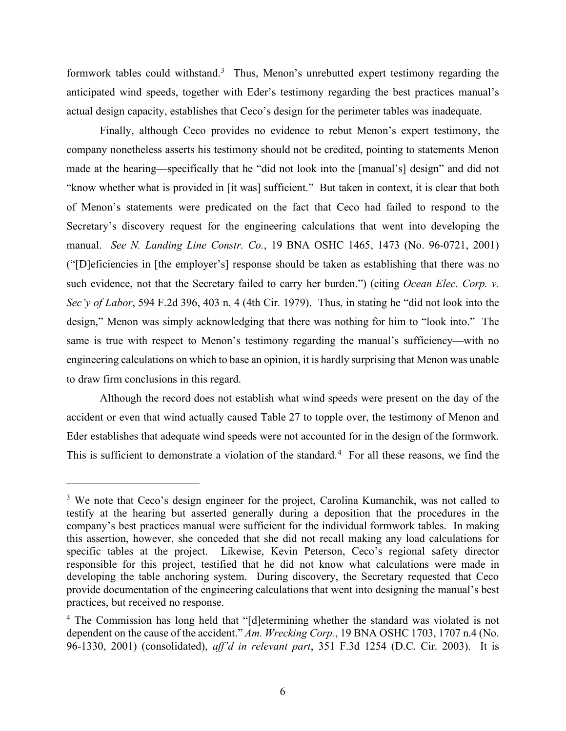formwork tables could withstand. $3$  Thus, Menon's unrebutted expert testimony regarding the anticipated wind speeds, together with Eder's testimony regarding the best practices manual's actual design capacity, establishes that Ceco's design for the perimeter tables was inadequate.

Finally, although Ceco provides no evidence to rebut Menon's expert testimony, the company nonetheless asserts his testimony should not be credited, pointing to statements Menon made at the hearing—specifically that he "did not look into the [manual's] design" and did not "know whether what is provided in [it was] sufficient." But taken in context, it is clear that both of Menon's statements were predicated on the fact that Ceco had failed to respond to the Secretary's discovery request for the engineering calculations that went into developing the manual. *See N. Landing Line Constr. Co.*, 19 BNA OSHC 1465, 1473 (No. 96-0721, 2001) ("[D]eficiencies in [the employer's] response should be taken as establishing that there was no such evidence, not that the Secretary failed to carry her burden.") (citing *Ocean Elec. Corp. v. Sec'y of Labor*, 594 F.2d 396, 403 n. 4 (4th Cir. 1979). Thus, in stating he "did not look into the design," Menon was simply acknowledging that there was nothing for him to "look into." The same is true with respect to Menon's testimony regarding the manual's sufficiency—with no engineering calculations on which to base an opinion, it is hardly surprising that Menon was unable to draw firm conclusions in this regard.

Although the record does not establish what wind speeds were present on the day of the accident or even that wind actually caused Table 27 to topple over, the testimony of Menon and Eder establishes that adequate wind speeds were not accounted for in the design of the formwork. This is sufficient to demonstrate a violation of the standard.<sup>[4](#page-5-1)</sup> For all these reasons, we find the

<span id="page-5-0"></span><sup>&</sup>lt;sup>3</sup> We note that Ceco's design engineer for the project, Carolina Kumanchik, was not called to testify at the hearing but asserted generally during a deposition that the procedures in the company's best practices manual were sufficient for the individual formwork tables. In making this assertion, however, she conceded that she did not recall making any load calculations for specific tables at the project. Likewise, Kevin Peterson, Ceco's regional safety director responsible for this project, testified that he did not know what calculations were made in developing the table anchoring system. During discovery, the Secretary requested that Ceco provide documentation of the engineering calculations that went into designing the manual's best practices, but received no response.

<span id="page-5-1"></span><sup>&</sup>lt;sup>4</sup> The Commission has long held that "[d]etermining whether the standard was violated is not dependent on the cause of the accident." *Am. Wrecking Corp.*, 19 BNA OSHC 1703, 1707 n.4 (No. 96-1330, 2001) (consolidated), *aff'd in relevant part*, 351 F.3d 1254 (D.C. Cir. 2003). It is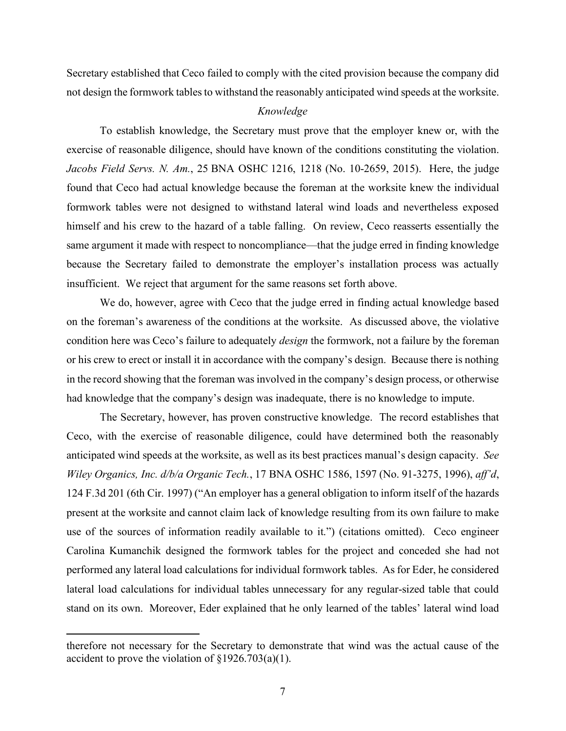Secretary established that Ceco failed to comply with the cited provision because the company did not design the formwork tables to withstand the reasonably anticipated wind speeds at the worksite.

## *Knowledge*

To establish knowledge, the Secretary must prove that the employer knew or, with the exercise of reasonable diligence, should have known of the conditions constituting the violation. *Jacobs Field Servs. N. Am.*, 25 BNA OSHC 1216, 1218 (No. 10-2659, 2015). Here, the judge found that Ceco had actual knowledge because the foreman at the worksite knew the individual formwork tables were not designed to withstand lateral wind loads and nevertheless exposed himself and his crew to the hazard of a table falling. On review, Ceco reasserts essentially the same argument it made with respect to noncompliance—that the judge erred in finding knowledge because the Secretary failed to demonstrate the employer's installation process was actually insufficient. We reject that argument for the same reasons set forth above.

We do, however, agree with Ceco that the judge erred in finding actual knowledge based on the foreman's awareness of the conditions at the worksite. As discussed above, the violative condition here was Ceco's failure to adequately *design* the formwork, not a failure by the foreman or his crew to erect or install it in accordance with the company's design. Because there is nothing in the record showing that the foreman was involved in the company's design process, or otherwise had knowledge that the company's design was inadequate, there is no knowledge to impute.

The Secretary, however, has proven constructive knowledge. The record establishes that Ceco, with the exercise of reasonable diligence, could have determined both the reasonably anticipated wind speeds at the worksite, as well as its best practices manual's design capacity. *See Wiley Organics, Inc. d/b/a Organic Tech.*, 17 BNA OSHC 1586, 1597 (No. 91-3275, 1996), *aff'd*, 124 F.3d 201 (6th Cir. 1997) ("An employer has a general obligation to inform itself of the hazards present at the worksite and cannot claim lack of knowledge resulting from its own failure to make use of the sources of information readily available to it.") (citations omitted). Ceco engineer Carolina Kumanchik designed the formwork tables for the project and conceded she had not performed any lateral load calculations for individual formwork tables. As for Eder, he considered lateral load calculations for individual tables unnecessary for any regular-sized table that could stand on its own. Moreover, Eder explained that he only learned of the tables' lateral wind load

therefore not necessary for the Secretary to demonstrate that wind was the actual cause of the accident to prove the violation of  $\S 1926.703(a)(1)$ .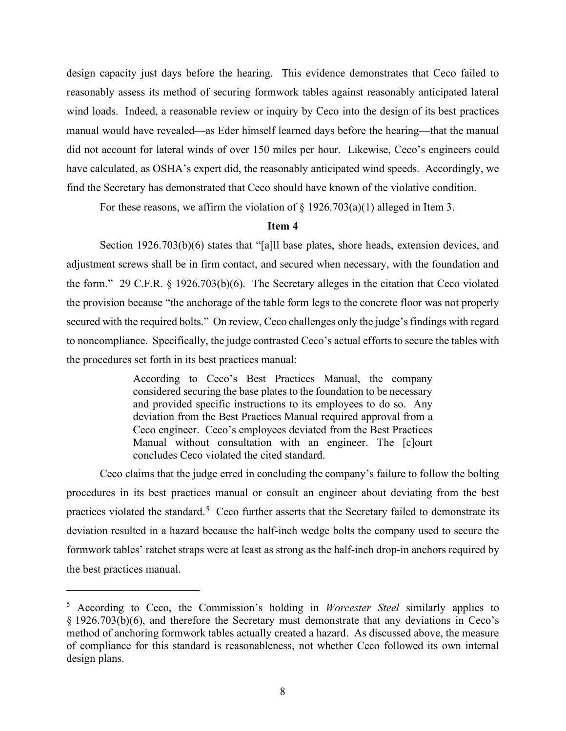design capacity just days before the hearing. This evidence demonstrates that Ceco failed to reasonably assess its method of securing formwork tables against reasonably anticipated lateral wind loads. Indeed, a reasonable review or inquiry by Ceco into the design of its best practices manual would have revealed—as Eder himself learned days before the hearing—that the manual did not account for lateral winds of over 150 miles per hour. Likewise, Ceco's engineers could have calculated, as OSHA's expert did, the reasonably anticipated wind speeds. Accordingly, we find the Secretary has demonstrated that Ceco should have known of the violative condition.

For these reasons, we affirm the violation of  $\S$  1926.703(a)(1) alleged in Item 3.

## **Item 4**

Section 1926.703(b)(6) states that "[a]ll base plates, shore heads, extension devices, and adjustment screws shall be in firm contact, and secured when necessary, with the foundation and the form." 29 C.F.R. § 1926.703(b)(6). The Secretary alleges in the citation that Ceco violated the provision because "the anchorage of the table form legs to the concrete floor was not properly secured with the required bolts." On review, Ceco challenges only the judge's findings with regard to noncompliance. Specifically, the judge contrasted Ceco's actual efforts to secure the tables with the procedures set forth in its best practices manual:

> According to Ceco's Best Practices Manual, the company considered securing the base plates to the foundation to be necessary and provided specific instructions to its employees to do so. Any deviation from the Best Practices Manual required approval from a Ceco engineer. Ceco's employees deviated from the Best Practices Manual without consultation with an engineer. The [c]ourt concludes Ceco violated the cited standard.

Ceco claims that the judge erred in concluding the company's failure to follow the bolting procedures in its best practices manual or consult an engineer about deviating from the best practices violated the standard.<sup>[5](#page-7-0)</sup> Ceco further asserts that the Secretary failed to demonstrate its deviation resulted in a hazard because the half-inch wedge bolts the company used to secure the formwork tables' ratchet straps were at least as strong as the half-inch drop-in anchors required by the best practices manual.

<span id="page-7-0"></span><sup>5</sup> According to Ceco, the Commission's holding in *Worcester Steel* similarly applies to § 1926.703(b)(6), and therefore the Secretary must demonstrate that any deviations in Ceco's method of anchoring formwork tables actually created a hazard. As discussed above, the measure of compliance for this standard is reasonableness, not whether Ceco followed its own internal design plans.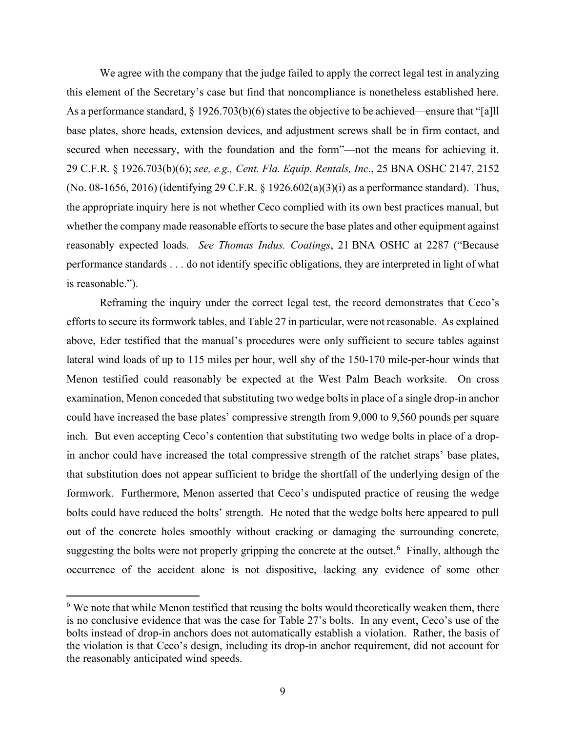We agree with the company that the judge failed to apply the correct legal test in analyzing this element of the Secretary's case but find that noncompliance is nonetheless established here. As a performance standard, § 1926.703(b)(6) states the objective to be achieved—ensure that "[a]ll base plates, shore heads, extension devices, and adjustment screws shall be in firm contact, and secured when necessary, with the foundation and the form"—not the means for achieving it. 29 C.F.R. § 1926.703(b)(6); *see, e.g., Cent. Fla. Equip. Rentals, Inc.*, 25 BNA OSHC 2147, 2152 (No. 08-1656, 2016) (identifying 29 C.F.R. § 1926.602(a)(3)(i) as a performance standard). Thus, the appropriate inquiry here is not whether Ceco complied with its own best practices manual, but whether the company made reasonable efforts to secure the base plates and other equipment against reasonably expected loads. *See Thomas Indus. Coatings*, 21 BNA OSHC at 2287 ("Because performance standards . . . do not identify specific obligations, they are interpreted in light of what is reasonable.").

Reframing the inquiry under the correct legal test, the record demonstrates that Ceco's efforts to secure its formwork tables, and Table 27 in particular, were not reasonable. As explained above, Eder testified that the manual's procedures were only sufficient to secure tables against lateral wind loads of up to 115 miles per hour, well shy of the 150-170 mile-per-hour winds that Menon testified could reasonably be expected at the West Palm Beach worksite. On cross examination, Menon conceded that substituting two wedge bolts in place of a single drop-in anchor could have increased the base plates' compressive strength from 9,000 to 9,560 pounds per square inch. But even accepting Ceco's contention that substituting two wedge bolts in place of a dropin anchor could have increased the total compressive strength of the ratchet straps' base plates, that substitution does not appear sufficient to bridge the shortfall of the underlying design of the formwork. Furthermore, Menon asserted that Ceco's undisputed practice of reusing the wedge bolts could have reduced the bolts' strength. He noted that the wedge bolts here appeared to pull out of the concrete holes smoothly without cracking or damaging the surrounding concrete, suggesting the bolts were not properly gripping the concrete at the outset.<sup>[6](#page-8-0)</sup> Finally, although the occurrence of the accident alone is not dispositive, lacking any evidence of some other

<span id="page-8-0"></span> $6$  We note that while Menon testified that reusing the bolts would theoretically weaken them, there is no conclusive evidence that was the case for Table 27's bolts. In any event, Ceco's use of the bolts instead of drop-in anchors does not automatically establish a violation. Rather, the basis of the violation is that Ceco's design, including its drop-in anchor requirement, did not account for the reasonably anticipated wind speeds.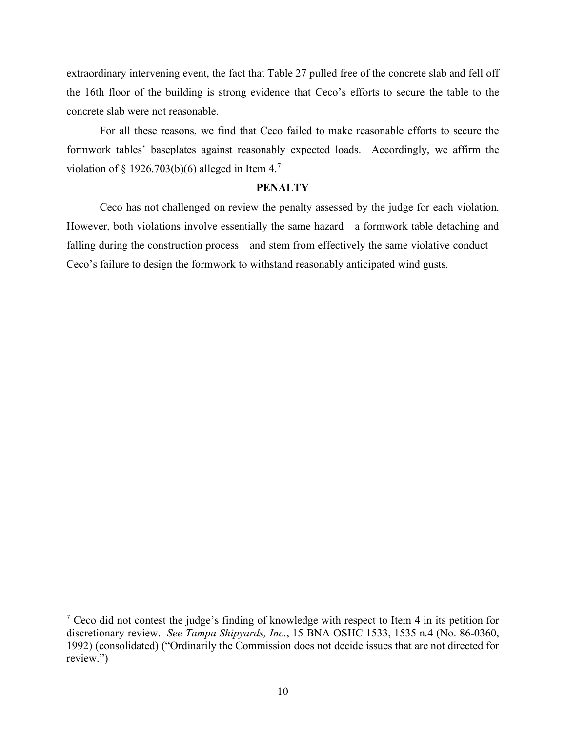extraordinary intervening event, the fact that Table 27 pulled free of the concrete slab and fell off the 16th floor of the building is strong evidence that Ceco's efforts to secure the table to the concrete slab were not reasonable.

For all these reasons, we find that Ceco failed to make reasonable efforts to secure the formwork tables' baseplates against reasonably expected loads. Accordingly, we affirm the violation of § 1926.[7](#page-9-0)03(b)(6) alleged in Item 4.<sup>7</sup>

#### **PENALTY**

Ceco has not challenged on review the penalty assessed by the judge for each violation. However, both violations involve essentially the same hazard—a formwork table detaching and falling during the construction process—and stem from effectively the same violative conduct— Ceco's failure to design the formwork to withstand reasonably anticipated wind gusts.

<span id="page-9-0"></span> $<sup>7</sup>$  Ceco did not contest the judge's finding of knowledge with respect to Item 4 in its petition for</sup> discretionary review. *See Tampa Shipyards, Inc.*, 15 BNA OSHC 1533, 1535 n.4 (No. 86-0360, 1992) (consolidated) ("Ordinarily the Commission does not decide issues that are not directed for review.")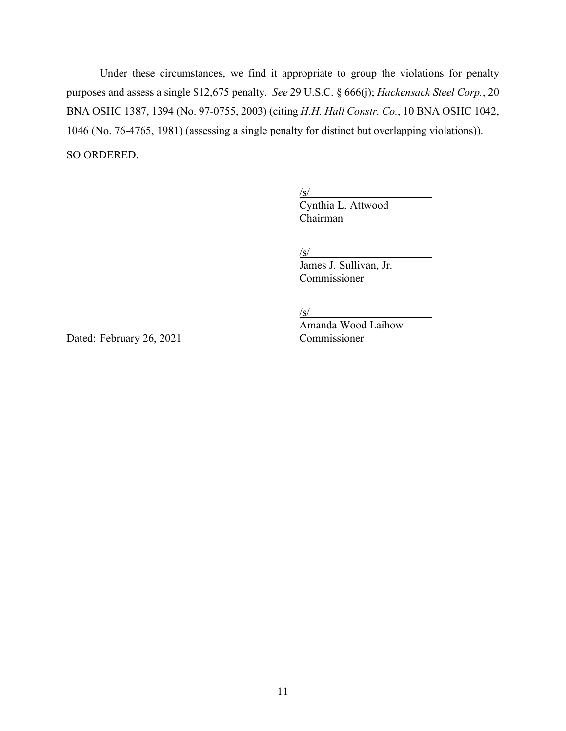Under these circumstances, we find it appropriate to group the violations for penalty purposes and assess a single \$12,675 penalty. *See* 29 U.S.C. § 666(j); *Hackensack Steel Corp.*, 20 BNA OSHC 1387, 1394 (No. 97-0755, 2003) (citing *H.H. Hall Constr. Co.*, 10 BNA OSHC 1042, 1046 (No. 76-4765, 1981) (assessing a single penalty for distinct but overlapping violations)). SO ORDERED.

> $\sqrt{s/}$ Cynthia L. Attwood Chairman

 $\sqrt{s/}$ 

James J. Sullivan, Jr. Commissioner

/s/

Amanda Wood Laihow

Dated: February 26, 2021 Commissioner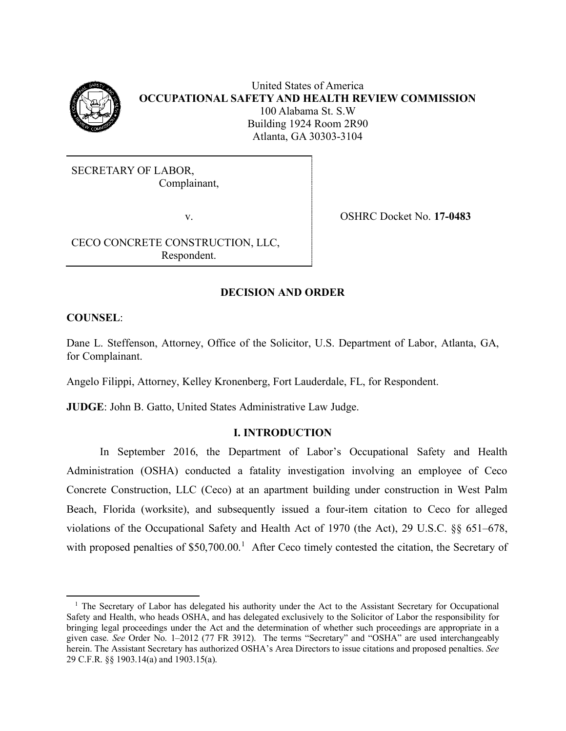

United States of America **OCCUPATIONAL SAFETY AND HEALTH REVIEW COMMISSION** 100 Alabama St. S.W Building 1924 Room 2R90 Atlanta, GA 30303-3104

SECRETARY OF LABOR, Complainant,

v. OSHRC Docket No. **17-0483**

CECO CONCRETE CONSTRUCTION, LLC, Respondent.

## **DECISION AND ORDER**

**COUNSEL**:

Dane L. Steffenson, Attorney, Office of the Solicitor, U.S. Department of Labor, Atlanta, GA, for Complainant.

Angelo Filippi, Attorney, Kelley Kronenberg, Fort Lauderdale, FL, for Respondent.

**JUDGE**: John B. Gatto, United States Administrative Law Judge.

## **I. INTRODUCTION**

In September 2016, the Department of Labor's Occupational Safety and Health Administration (OSHA) conducted a fatality investigation involving an employee of Ceco Concrete Construction, LLC (Ceco) at an apartment building under construction in West Palm Beach, Florida (worksite), and subsequently issued a four-item citation to Ceco for alleged violations of the Occupational Safety and Health Act of 1970 (the Act), 29 U.S.C. §§ 651–678, with proposed penalties of \$50,700.00.<sup>[1](#page-11-0)</sup> After Ceco timely contested the citation, the Secretary of

<span id="page-11-0"></span><sup>&</sup>lt;sup>1</sup> The Secretary of Labor has delegated his authority under the Act to the Assistant Secretary for Occupational Safety and Health, who heads OSHA, and has delegated exclusively to the Solicitor of Labor the responsibility for bringing legal proceedings under the Act and the determination of whether such proceedings are appropriate in a given case. *See* Order No. 1–2012 (77 FR 3912). The terms "Secretary" and "OSHA" are used interchangeably herein. The Assistant Secretary has authorized OSHA's Area Directors to issue citations and proposed penalties. *See* 29 C.F.R. §§ 1903.14(a) and 1903.15(a).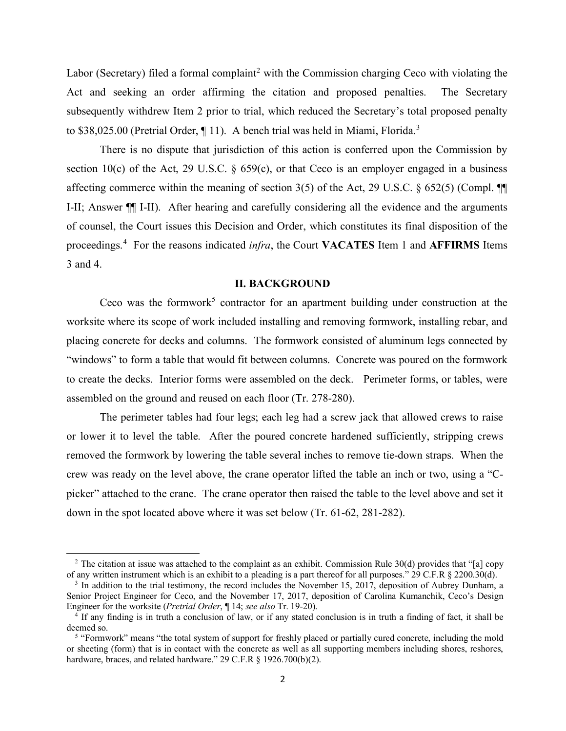Labor (Secretary) filed a formal complaint<sup>[2](#page-12-0)</sup> with the Commission charging Ceco with violating the Act and seeking an order affirming the citation and proposed penalties. The Secretary subsequently withdrew Item 2 prior to trial, which reduced the Secretary's total proposed penalty to \$[3](#page-12-1)8,025.00 (Pretrial Order, 11). A bench trial was held in Miami, Florida.<sup>3</sup>

There is no dispute that jurisdiction of this action is conferred upon the Commission by section 10(c) of the Act, 29 U.S.C.  $\S$  659(c), or that Ceco is an employer engaged in a business affecting commerce within the meaning of section 3(5) of the Act, 29 U.S.C. § 652(5) (Compl. ¶¶ I-II; Answer ¶¶ I-II). After hearing and carefully considering all the evidence and the arguments of counsel, the Court issues this Decision and Order, which constitutes its final disposition of the proceedings.[4](#page-12-2) For the reasons indicated *infra*, the Court **VACATES** Item 1 and **AFFIRMS** Items 3 and 4.

### **II. BACKGROUND**

Ceco was the formwork<sup>[5](#page-12-3)</sup> contractor for an apartment building under construction at the worksite where its scope of work included installing and removing formwork, installing rebar, and placing concrete for decks and columns. The formwork consisted of aluminum legs connected by "windows" to form a table that would fit between columns. Concrete was poured on the formwork to create the decks. Interior forms were assembled on the deck. Perimeter forms, or tables, were assembled on the ground and reused on each floor (Tr. 278-280).

The perimeter tables had four legs; each leg had a screw jack that allowed crews to raise or lower it to level the table. After the poured concrete hardened sufficiently, stripping crews removed the formwork by lowering the table several inches to remove tie-down straps. When the crew was ready on the level above, the crane operator lifted the table an inch or two, using a "Cpicker" attached to the crane. The crane operator then raised the table to the level above and set it down in the spot located above where it was set below (Tr. 61-62, 281-282).

<span id="page-12-0"></span><sup>&</sup>lt;sup>2</sup> The citation at issue was attached to the complaint as an exhibit. Commission Rule 30(d) provides that "[a] copy of any written instrument which is an exhibit to a pleading is a part thereof for all purposes." 29 C.F.R § 2200.30(d).

<span id="page-12-1"></span><sup>&</sup>lt;sup>3</sup> In addition to the trial testimony, the record includes the November 15, 2017, deposition of Aubrey Dunham, a Senior Project Engineer for Ceco, and the November 17, 2017, deposition of Carolina Kumanchik, Ceco's Design Engineer for the worksite (Pretrial Order, ¶ 14; see also Tr. 19-20).

<span id="page-12-2"></span><sup>&</sup>lt;sup>4</sup> If any finding is in truth a conclusion of law, or if any stated conclusion is in truth a finding of fact, it shall be deemed so.<br><sup>5</sup> "Formwork" means "the total system of support for freshly placed or partially cured concrete, including the mold

<span id="page-12-3"></span>or sheeting (form) that is in contact with the concrete as well as all supporting members including shores, reshores, hardware, braces, and related hardware." 29 C.F.R § 1926.700(b)(2).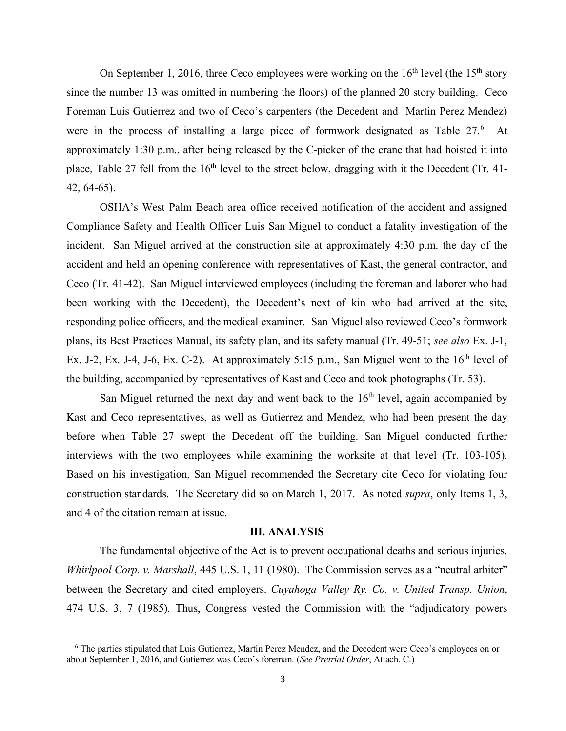On September 1, 2016, three Ceco employees were working on the  $16<sup>th</sup>$  level (the  $15<sup>th</sup>$  story since the number 13 was omitted in numbering the floors) of the planned 20 story building. Ceco Foreman Luis Gutierrez and two of Ceco's carpenters (the Decedent and Martin Perez Mendez) were in the process of installing a large piece of formwork designated as Table 27.<sup>[6](#page-13-0)</sup> At approximately 1:30 p.m., after being released by the C-picker of the crane that had hoisted it into place, Table 27 fell from the  $16<sup>th</sup>$  level to the street below, dragging with it the Decedent (Tr. 41-42, 64-65).

OSHA's West Palm Beach area office received notification of the accident and assigned Compliance Safety and Health Officer Luis San Miguel to conduct a fatality investigation of the incident. San Miguel arrived at the construction site at approximately 4:30 p.m. the day of the accident and held an opening conference with representatives of Kast, the general contractor, and Ceco (Tr. 41-42). San Miguel interviewed employees (including the foreman and laborer who had been working with the Decedent), the Decedent's next of kin who had arrived at the site, responding police officers, and the medical examiner. San Miguel also reviewed Ceco's formwork plans, its Best Practices Manual, its safety plan, and its safety manual (Tr. 49-51; *see also* Ex. J-1, Ex. J-2, Ex. J-4, J-6, Ex. C-2). At approximately 5:15 p.m., San Miguel went to the  $16<sup>th</sup>$  level of the building, accompanied by representatives of Kast and Ceco and took photographs (Tr. 53).

San Miguel returned the next day and went back to the  $16<sup>th</sup>$  level, again accompanied by Kast and Ceco representatives, as well as Gutierrez and Mendez, who had been present the day before when Table 27 swept the Decedent off the building. San Miguel conducted further interviews with the two employees while examining the worksite at that level (Tr. 103-105). Based on his investigation, San Miguel recommended the Secretary cite Ceco for violating four construction standards. The Secretary did so on March 1, 2017. As noted *supra*, only Items 1, 3, and 4 of the citation remain at issue.

#### **III. ANALYSIS**

The fundamental objective of the Act is to prevent occupational deaths and serious injuries. *Whirlpool Corp. v. Marshall*, 445 U.S. 1, 11 (1980). The Commission serves as a "neutral arbiter" between the Secretary and cited employers. *Cuyahoga Valley Ry. Co. v. United Transp. Union*, 474 U.S. 3, 7 (1985). Thus, Congress vested the Commission with the "adjudicatory powers

<span id="page-13-0"></span><sup>6</sup> The parties stipulated that Luis Gutierrez, Martin Perez Mendez, and the Decedent were Ceco's employees on or about September 1, 2016, and Gutierrez was Ceco's foreman. (*See Pretrial Order*, Attach. C.)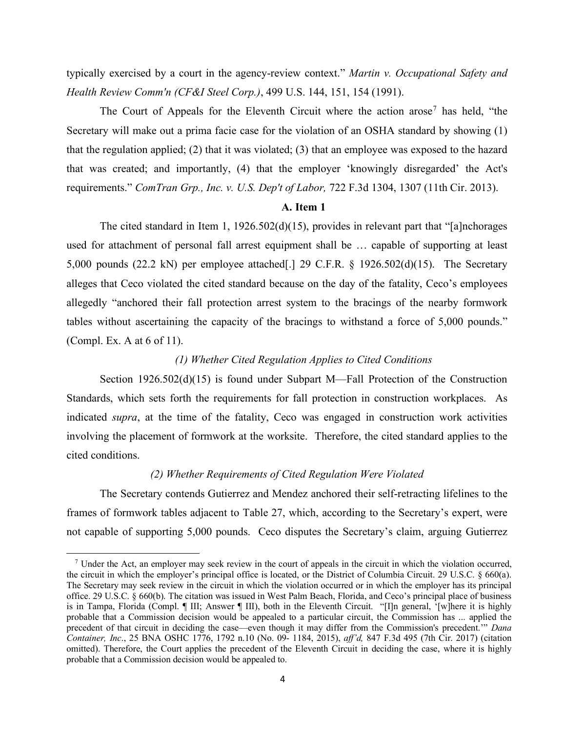typically exercised by a court in the agency-review context." *Martin v. Occupational Safety and Health Review Comm'n (CF&I Steel Corp.)*, 499 U.S. 144, 151, 154 (1991).

The Court of Appeals for the Eleventh Circuit where the action arose<sup>[7](#page-14-0)</sup> has held, "the Secretary will make out a prima facie case for the violation of an OSHA standard by showing (1) that the regulation applied; (2) that it was violated; (3) that an employee was exposed to the hazard that was created; and importantly, (4) that the employer 'knowingly disregarded' the Act's requirements." *ComTran Grp., Inc. v. U.S. Dep't of Labor,* 722 F.3d 1304, 1307 (11th Cir. 2013).

#### **A. Item 1**

The cited standard in Item 1,  $1926.502(d)(15)$ , provides in relevant part that "[a]nchorages used for attachment of personal fall arrest equipment shall be … capable of supporting at least 5,000 pounds (22.2 kN) per employee attached[.] 29 C.F.R. § 1926.502(d)(15). The Secretary alleges that Ceco violated the cited standard because on the day of the fatality, Ceco's employees allegedly "anchored their fall protection arrest system to the bracings of the nearby formwork tables without ascertaining the capacity of the bracings to withstand a force of 5,000 pounds." (Compl. Ex. A at 6 of 11).

### *(1) Whether Cited Regulation Applies to Cited Conditions*

Section 1926.502(d)(15) is found under Subpart M—Fall Protection of the Construction Standards, which sets forth the requirements for fall protection in construction workplaces. As indicated *supra*, at the time of the fatality, Ceco was engaged in construction work activities involving the placement of formwork at the worksite. Therefore, the cited standard applies to the cited conditions.

### *(2) Whether Requirements of Cited Regulation Were Violated*

The Secretary contends Gutierrez and Mendez anchored their self-retracting lifelines to the frames of formwork tables adjacent to Table 27, which, according to the Secretary's expert, were not capable of supporting 5,000 pounds. Ceco disputes the Secretary's claim, arguing Gutierrez

<span id="page-14-0"></span><sup>&</sup>lt;sup>7</sup> Under the Act, an employer may seek review in the court of appeals in the circuit in which the violation occurred, the circuit in which the employer's principal office is located, or the District of Columbia Circuit. 29 U.S.C. § 660(a). The Secretary may seek review in the circuit in which the violation occurred or in which the employer has its principal office. 29 U.S.C. § 660(b). The citation was issued in West Palm Beach, Florida, and Ceco's principal place of business is in Tampa, Florida (Compl. ¶ III; Answer ¶ III), both in the Eleventh Circuit. "[I]n general, '[w]here it is highly probable that a Commission decision would be appealed to a particular circuit, the Commission has ... applied the precedent of that circuit in deciding the case—even though it may differ from the Commission's precedent.'" *Dana Container, Inc*., 25 BNA OSHC 1776, 1792 n.10 (No. 09- 1184, 2015), *aff'd,* 847 F.3d 495 (7th Cir. 2017) (citation omitted). Therefore, the Court applies the precedent of the Eleventh Circuit in deciding the case, where it is highly probable that a Commission decision would be appealed to.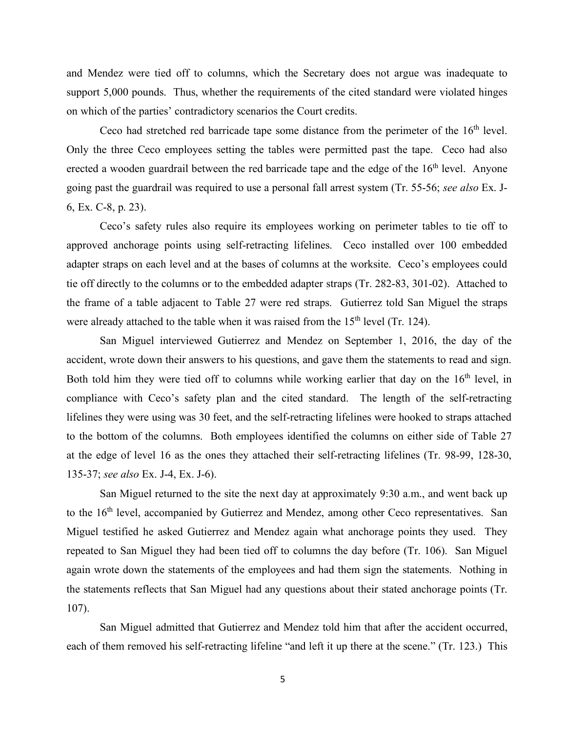and Mendez were tied off to columns, which the Secretary does not argue was inadequate to support 5,000 pounds. Thus, whether the requirements of the cited standard were violated hinges on which of the parties' contradictory scenarios the Court credits.

Ceco had stretched red barricade tape some distance from the perimeter of the  $16<sup>th</sup>$  level. Only the three Ceco employees setting the tables were permitted past the tape. Ceco had also erected a wooden guardrail between the red barricade tape and the edge of the  $16<sup>th</sup>$  level. Anyone going past the guardrail was required to use a personal fall arrest system (Tr. 55-56; *see also* Ex. J-6, Ex. C-8, p. 23).

Ceco's safety rules also require its employees working on perimeter tables to tie off to approved anchorage points using self-retracting lifelines. Ceco installed over 100 embedded adapter straps on each level and at the bases of columns at the worksite. Ceco's employees could tie off directly to the columns or to the embedded adapter straps (Tr. 282-83, 301-02). Attached to the frame of a table adjacent to Table 27 were red straps. Gutierrez told San Miguel the straps were already attached to the table when it was raised from the  $15<sup>th</sup>$  level (Tr. 124).

San Miguel interviewed Gutierrez and Mendez on September 1, 2016, the day of the accident, wrote down their answers to his questions, and gave them the statements to read and sign. Both told him they were tied off to columns while working earlier that day on the  $16<sup>th</sup>$  level, in compliance with Ceco's safety plan and the cited standard. The length of the self-retracting lifelines they were using was 30 feet, and the self-retracting lifelines were hooked to straps attached to the bottom of the columns. Both employees identified the columns on either side of Table 27 at the edge of level 16 as the ones they attached their self-retracting lifelines (Tr. 98-99, 128-30, 135-37; *see also* Ex. J-4, Ex. J-6).

San Miguel returned to the site the next day at approximately 9:30 a.m., and went back up to the 16<sup>th</sup> level, accompanied by Gutierrez and Mendez, among other Ceco representatives. San Miguel testified he asked Gutierrez and Mendez again what anchorage points they used. They repeated to San Miguel they had been tied off to columns the day before (Tr. 106). San Miguel again wrote down the statements of the employees and had them sign the statements. Nothing in the statements reflects that San Miguel had any questions about their stated anchorage points (Tr. 107).

San Miguel admitted that Gutierrez and Mendez told him that after the accident occurred, each of them removed his self-retracting lifeline "and left it up there at the scene." (Tr. 123.) This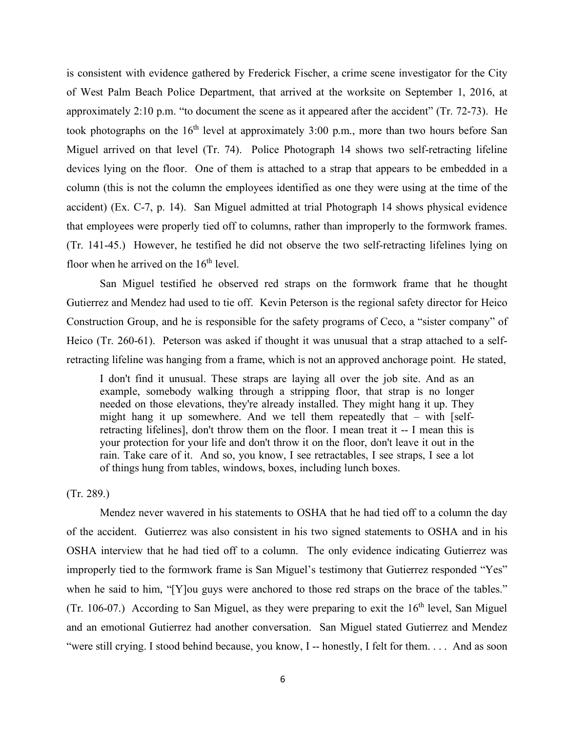is consistent with evidence gathered by Frederick Fischer, a crime scene investigator for the City of West Palm Beach Police Department, that arrived at the worksite on September 1, 2016, at approximately 2:10 p.m. "to document the scene as it appeared after the accident" (Tr. 72-73). He took photographs on the  $16<sup>th</sup>$  level at approximately 3:00 p.m., more than two hours before San Miguel arrived on that level (Tr. 74). Police Photograph 14 shows two self-retracting lifeline devices lying on the floor. One of them is attached to a strap that appears to be embedded in a column (this is not the column the employees identified as one they were using at the time of the accident) (Ex. C-7, p. 14). San Miguel admitted at trial Photograph 14 shows physical evidence that employees were properly tied off to columns, rather than improperly to the formwork frames. (Tr. 141-45.) However, he testified he did not observe the two self-retracting lifelines lying on floor when he arrived on the  $16<sup>th</sup>$  level.

San Miguel testified he observed red straps on the formwork frame that he thought Gutierrez and Mendez had used to tie off. Kevin Peterson is the regional safety director for Heico Construction Group, and he is responsible for the safety programs of Ceco, a "sister company" of Heico (Tr. 260-61). Peterson was asked if thought it was unusual that a strap attached to a selfretracting lifeline was hanging from a frame, which is not an approved anchorage point. He stated,

I don't find it unusual. These straps are laying all over the job site. And as an example, somebody walking through a stripping floor, that strap is no longer needed on those elevations, they're already installed. They might hang it up. They might hang it up somewhere. And we tell them repeatedly that – with [selfretracting lifelines], don't throw them on the floor. I mean treat it -- I mean this is your protection for your life and don't throw it on the floor, don't leave it out in the rain. Take care of it. And so, you know, I see retractables, I see straps, I see a lot of things hung from tables, windows, boxes, including lunch boxes.

(Tr. 289.)

Mendez never wavered in his statements to OSHA that he had tied off to a column the day of the accident. Gutierrez was also consistent in his two signed statements to OSHA and in his OSHA interview that he had tied off to a column. The only evidence indicating Gutierrez was improperly tied to the formwork frame is San Miguel's testimony that Gutierrez responded "Yes" when he said to him, "[Y]ou guys were anchored to those red straps on the brace of the tables." (Tr. 106-07.) According to San Miguel, as they were preparing to exit the  $16<sup>th</sup>$  level, San Miguel and an emotional Gutierrez had another conversation. San Miguel stated Gutierrez and Mendez "were still crying. I stood behind because, you know, I -- honestly, I felt for them.... And as soon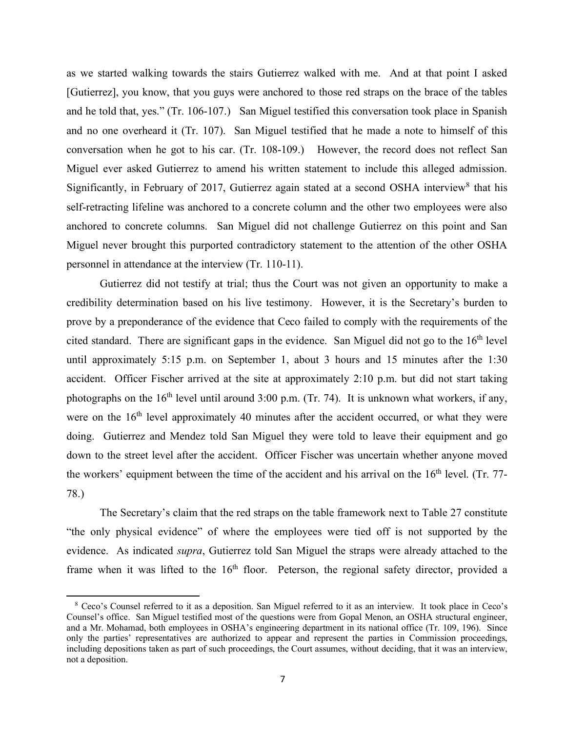as we started walking towards the stairs Gutierrez walked with me. And at that point I asked [Gutierrez], you know, that you guys were anchored to those red straps on the brace of the tables and he told that, yes." (Tr. 106-107.) San Miguel testified this conversation took place in Spanish and no one overheard it (Tr. 107). San Miguel testified that he made a note to himself of this conversation when he got to his car. (Tr. 108-109.) However, the record does not reflect San Miguel ever asked Gutierrez to amend his written statement to include this alleged admission. Significantly, in February of 2017, Gutierrez again stated at a second OSHA interview<sup>[8](#page-17-0)</sup> that his self-retracting lifeline was anchored to a concrete column and the other two employees were also anchored to concrete columns. San Miguel did not challenge Gutierrez on this point and San Miguel never brought this purported contradictory statement to the attention of the other OSHA personnel in attendance at the interview (Tr. 110-11).

Gutierrez did not testify at trial; thus the Court was not given an opportunity to make a credibility determination based on his live testimony. However, it is the Secretary's burden to prove by a preponderance of the evidence that Ceco failed to comply with the requirements of the cited standard. There are significant gaps in the evidence. San Miguel did not go to the  $16<sup>th</sup>$  level until approximately 5:15 p.m. on September 1, about 3 hours and 15 minutes after the 1:30 accident. Officer Fischer arrived at the site at approximately 2:10 p.m. but did not start taking photographs on the  $16<sup>th</sup>$  level until around 3:00 p.m. (Tr. 74). It is unknown what workers, if any, were on the 16<sup>th</sup> level approximately 40 minutes after the accident occurred, or what they were doing. Gutierrez and Mendez told San Miguel they were told to leave their equipment and go down to the street level after the accident. Officer Fischer was uncertain whether anyone moved the workers' equipment between the time of the accident and his arrival on the 16<sup>th</sup> level. (Tr. 77-78.)

The Secretary's claim that the red straps on the table framework next to Table 27 constitute "the only physical evidence" of where the employees were tied off is not supported by the evidence. As indicated *supra*, Gutierrez told San Miguel the straps were already attached to the frame when it was lifted to the 16<sup>th</sup> floor. Peterson, the regional safety director, provided a

<span id="page-17-0"></span><sup>8</sup> Ceco's Counsel referred to it as a deposition. San Miguel referred to it as an interview. It took place in Ceco's Counsel's office. San Miguel testified most of the questions were from Gopal Menon, an OSHA structural engineer, and a Mr. Mohamad, both employees in OSHA's engineering department in its national office (Tr. 109, 196). Since only the parties' representatives are authorized to appear and represent the parties in Commission proceedings, including depositions taken as part of such proceedings, the Court assumes, without deciding, that it was an interview, not a deposition.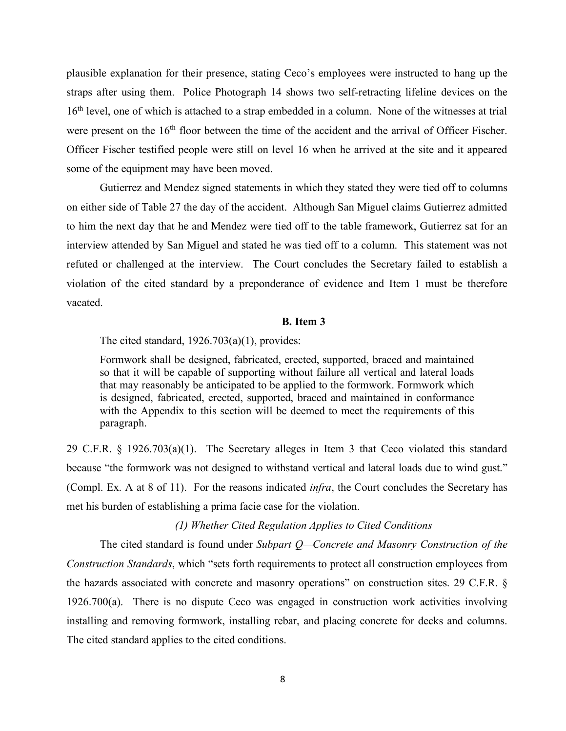plausible explanation for their presence, stating Ceco's employees were instructed to hang up the straps after using them. Police Photograph 14 shows two self-retracting lifeline devices on the 16<sup>th</sup> level, one of which is attached to a strap embedded in a column. None of the witnesses at trial were present on the 16<sup>th</sup> floor between the time of the accident and the arrival of Officer Fischer. Officer Fischer testified people were still on level 16 when he arrived at the site and it appeared some of the equipment may have been moved.

Gutierrez and Mendez signed statements in which they stated they were tied off to columns on either side of Table 27 the day of the accident. Although San Miguel claims Gutierrez admitted to him the next day that he and Mendez were tied off to the table framework, Gutierrez sat for an interview attended by San Miguel and stated he was tied off to a column. This statement was not refuted or challenged at the interview. The Court concludes the Secretary failed to establish a violation of the cited standard by a preponderance of evidence and Item 1 must be therefore vacated.

## **B. Item 3**

The cited standard, 1926.703(a)(1), provides:

Formwork shall be designed, fabricated, erected, supported, braced and maintained so that it will be capable of supporting without failure all vertical and lateral loads that may reasonably be anticipated to be applied to the formwork. Formwork which is designed, fabricated, erected, supported, braced and maintained in conformance with the Appendix to this section will be deemed to meet the requirements of this paragraph.

29 C.F.R. § 1926.703(a)(1). The Secretary alleges in Item 3 that Ceco violated this standard because "the formwork was not designed to withstand vertical and lateral loads due to wind gust." (Compl. Ex. A at 8 of 11). For the reasons indicated *infra*, the Court concludes the Secretary has met his burden of establishing a prima facie case for the violation.

## *(1) Whether Cited Regulation Applies to Cited Conditions*

The cited standard is found under *Subpart Q—Concrete and Masonry Construction of the Construction Standards*, which "sets forth requirements to protect all construction employees from the hazards associated with concrete and masonry operations" on construction sites. 29 C.F.R. § 1926.700(a). There is no dispute Ceco was engaged in construction work activities involving installing and removing formwork, installing rebar, and placing concrete for decks and columns. The cited standard applies to the cited conditions.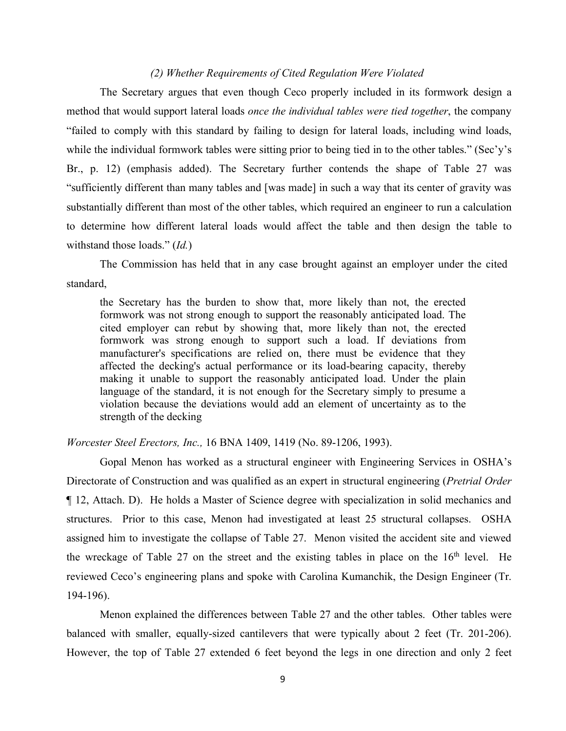### *(2) Whether Requirements of Cited Regulation Were Violated*

The Secretary argues that even though Ceco properly included in its formwork design a method that would support lateral loads *once the individual tables were tied together*, the company "failed to comply with this standard by failing to design for lateral loads, including wind loads, while the individual formwork tables were sitting prior to being tied in to the other tables." (Sec'y's Br., p. 12) (emphasis added). The Secretary further contends the shape of Table 27 was "sufficiently different than many tables and [was made] in such a way that its center of gravity was substantially different than most of the other tables, which required an engineer to run a calculation to determine how different lateral loads would affect the table and then design the table to withstand those loads." (*Id.*)

The Commission has held that in any case brought against an employer under the cited standard,

the Secretary has the burden to show that, more likely than not, the erected formwork was not strong enough to support the reasonably anticipated load. The cited employer can rebut by showing that, more likely than not, the erected formwork was strong enough to support such a load. If deviations from manufacturer's specifications are relied on, there must be evidence that they affected the decking's actual performance or its load-bearing capacity, thereby making it unable to support the reasonably anticipated load. Under the plain language of the standard, it is not enough for the Secretary simply to presume a violation because the deviations would add an element of uncertainty as to the strength of the decking

*Worcester Steel Erectors, Inc.,* 16 BNA 1409, 1419 (No. 89-1206, 1993).

Gopal Menon has worked as a structural engineer with Engineering Services in OSHA's Directorate of Construction and was qualified as an expert in structural engineering (*Pretrial Order*  ¶ 12, Attach. D). He holds a Master of Science degree with specialization in solid mechanics and structures. Prior to this case, Menon had investigated at least 25 structural collapses. OSHA assigned him to investigate the collapse of Table 27. Menon visited the accident site and viewed the wreckage of Table 27 on the street and the existing tables in place on the  $16<sup>th</sup>$  level. He reviewed Ceco's engineering plans and spoke with Carolina Kumanchik, the Design Engineer (Tr. 194-196).

Menon explained the differences between Table 27 and the other tables. Other tables were balanced with smaller, equally-sized cantilevers that were typically about 2 feet (Tr. 201-206). However, the top of Table 27 extended 6 feet beyond the legs in one direction and only 2 feet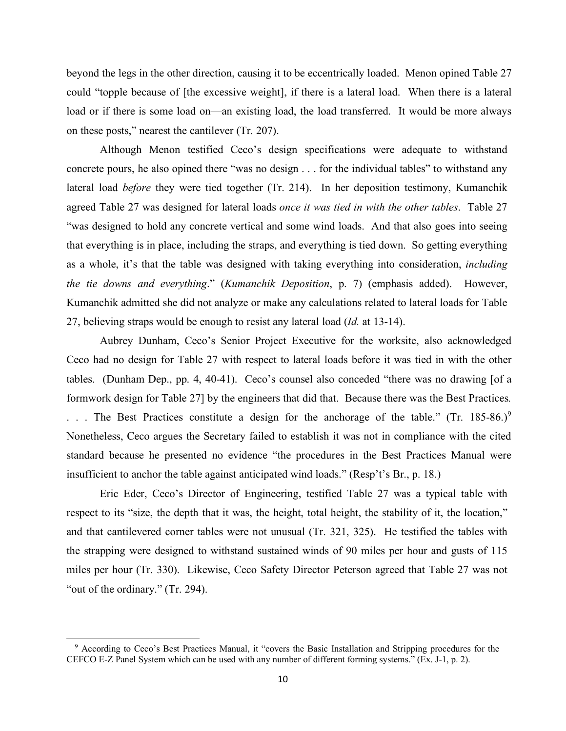beyond the legs in the other direction, causing it to be eccentrically loaded. Menon opined Table 27 could "topple because of [the excessive weight], if there is a lateral load. When there is a lateral load or if there is some load on—an existing load, the load transferred. It would be more always on these posts," nearest the cantilever (Tr. 207).

Although Menon testified Ceco's design specifications were adequate to withstand concrete pours, he also opined there "was no design . . . for the individual tables" to withstand any lateral load *before* they were tied together (Tr. 214). In her deposition testimony, Kumanchik agreed Table 27 was designed for lateral loads *once it was tied in with the other tables*. Table 27 "was designed to hold any concrete vertical and some wind loads. And that also goes into seeing that everything is in place, including the straps, and everything is tied down. So getting everything as a whole, it's that the table was designed with taking everything into consideration, *including the tie downs and everything*." (*Kumanchik Deposition*, p. 7) (emphasis added). However, Kumanchik admitted she did not analyze or make any calculations related to lateral loads for Table 27, believing straps would be enough to resist any lateral load (*Id.* at 13-14).

Aubrey Dunham, Ceco's Senior Project Executive for the worksite, also acknowledged Ceco had no design for Table 27 with respect to lateral loads before it was tied in with the other tables. (Dunham Dep., pp. 4, 40-41). Ceco's counsel also conceded "there was no drawing [of a formwork design for Table 27] by the engineers that did that. Because there was the Best Practices*.* ... The Best Practices constitute a design for the anchorage of the table." (Tr. 185-86.)<sup>[9](#page-20-0)</sup> Nonetheless, Ceco argues the Secretary failed to establish it was not in compliance with the cited standard because he presented no evidence "the procedures in the Best Practices Manual were insufficient to anchor the table against anticipated wind loads." (Resp't's Br., p. 18.)

Eric Eder, Ceco's Director of Engineering, testified Table 27 was a typical table with respect to its "size, the depth that it was, the height, total height, the stability of it, the location," and that cantilevered corner tables were not unusual (Tr. 321, 325). He testified the tables with the strapping were designed to withstand sustained winds of 90 miles per hour and gusts of 115 miles per hour (Tr. 330). Likewise, Ceco Safety Director Peterson agreed that Table 27 was not "out of the ordinary." (Tr. 294).

<span id="page-20-0"></span><sup>&</sup>lt;sup>9</sup> According to Ceco's Best Practices Manual, it "covers the Basic Installation and Stripping procedures for the CEFCO E-Z Panel System which can be used with any number of different forming systems." (Ex. J-1, p. 2).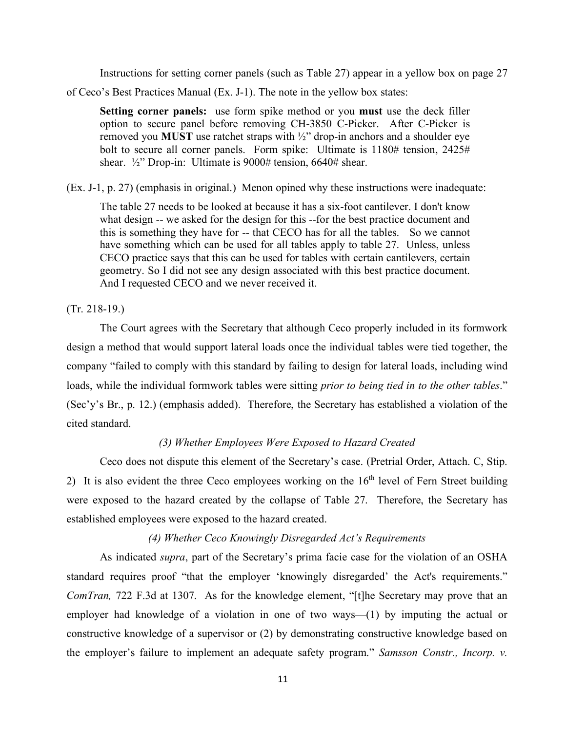Instructions for setting corner panels (such as Table 27) appear in a yellow box on page 27

of Ceco's Best Practices Manual (Ex. J-1). The note in the yellow box states:

**Setting corner panels:** use form spike method or you **must** use the deck filler option to secure panel before removing CH-3850 C-Picker. After C-Picker is removed you **MUST** use ratchet straps with ½" drop-in anchors and a shoulder eye bolt to secure all corner panels. Form spike: Ultimate is 1180# tension, 2425# shear. <sup>1</sup>/<sub>2</sub>" Drop-in: Ultimate is 9000# tension, 6640# shear.

(Ex. J-1, p. 27) (emphasis in original.) Menon opined why these instructions were inadequate:

The table 27 needs to be looked at because it has a six-foot cantilever. I don't know what design -- we asked for the design for this --for the best practice document and this is something they have for -- that CECO has for all the tables. So we cannot have something which can be used for all tables apply to table 27. Unless, unless CECO practice says that this can be used for tables with certain cantilevers, certain geometry. So I did not see any design associated with this best practice document. And I requested CECO and we never received it.

(Tr. 218-19.)

The Court agrees with the Secretary that although Ceco properly included in its formwork design a method that would support lateral loads once the individual tables were tied together, the company "failed to comply with this standard by failing to design for lateral loads, including wind loads, while the individual formwork tables were sitting *prior to being tied in to the other tables*." (Sec'y's Br., p. 12.) (emphasis added). Therefore, the Secretary has established a violation of the cited standard.

## *(3) Whether Employees Were Exposed to Hazard Created*

Ceco does not dispute this element of the Secretary's case. (Pretrial Order, Attach. C, Stip. 2) It is also evident the three Ceco employees working on the 16<sup>th</sup> level of Fern Street building were exposed to the hazard created by the collapse of Table 27. Therefore, the Secretary has established employees were exposed to the hazard created.

## *(4) Whether Ceco Knowingly Disregarded Act's Requirements*

As indicated *supra*, part of the Secretary's prima facie case for the violation of an OSHA standard requires proof "that the employer 'knowingly disregarded' the Act's requirements." *ComTran,* 722 F.3d at 1307. As for the knowledge element, "[t]he Secretary may prove that an employer had knowledge of a violation in one of two ways—(1) by imputing the actual or constructive knowledge of a supervisor or (2) by demonstrating constructive knowledge based on the employer's failure to implement an adequate safety program." *Samsson Constr., Incorp. v.*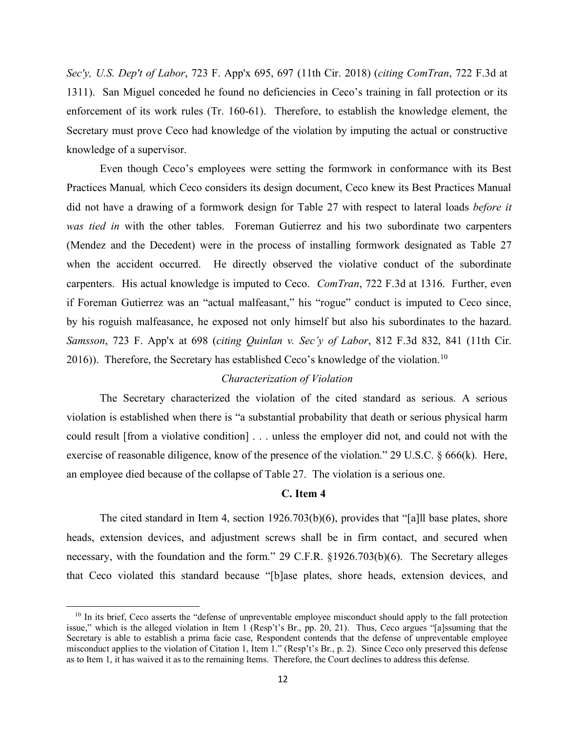*Sec'y, U.S. Dep't of Labor*, 723 F. App'x 695, 697 (11th Cir. 2018) (*citing ComTran*, 722 F.3d at 1311). San Miguel conceded he found no deficiencies in Ceco's training in fall protection or its enforcement of its work rules (Tr. 160-61). Therefore, to establish the knowledge element, the Secretary must prove Ceco had knowledge of the violation by imputing the actual or constructive knowledge of a supervisor.

Even though Ceco's employees were setting the formwork in conformance with its Best Practices Manual*,* which Ceco considers its design document, Ceco knew its Best Practices Manual did not have a drawing of a formwork design for Table 27 with respect to lateral loads *before it was tied in* with the other tables. Foreman Gutierrez and his two subordinate two carpenters (Mendez and the Decedent) were in the process of installing formwork designated as Table 27 when the accident occurred. He directly observed the violative conduct of the subordinate carpenters. His actual knowledge is imputed to Ceco. *ComTran*, 722 F.3d at 1316. Further, even if Foreman Gutierrez was an "actual malfeasant," his "rogue" conduct is imputed to Ceco since, by his roguish malfeasance, he exposed not only himself but also his subordinates to the hazard. *Samsson*, 723 F. App'x at 698 (*citing Quinlan v. Sec'y of Labor*, 812 F.3d 832, 841 (11th Cir. 2016)). Therefore, the Secretary has established Ceco's knowledge of the violation.<sup>[10](#page-22-0)</sup>

#### *Characterization of Violation*

The Secretary characterized the violation of the cited standard as serious. A serious violation is established when there is "a substantial probability that death or serious physical harm could result [from a violative condition] . . . unless the employer did not, and could not with the exercise of reasonable diligence, know of the presence of the violation." 29 U.S.C. § 666(k). Here, an employee died because of the collapse of Table 27. The violation is a serious one.

### **C. Item 4**

The cited standard in Item 4, section 1926.703(b)(6), provides that "[a]ll base plates, shore heads, extension devices, and adjustment screws shall be in firm contact, and secured when necessary, with the foundation and the form." 29 C.F.R. §1926.703(b)(6). The Secretary alleges that Ceco violated this standard because "[b]ase plates, shore heads, extension devices, and

<span id="page-22-0"></span><sup>&</sup>lt;sup>10</sup> In its brief, Ceco asserts the "defense of unpreventable employee misconduct should apply to the fall protection issue," which is the alleged violation in Item 1 (Resp't's Br., pp. 20, 21). Thus, Ceco argues "[a]ssuming that the Secretary is able to establish a prima facie case, Respondent contends that the defense of unpreventable employee misconduct applies to the violation of Citation 1, Item 1." (Resp't's Br., p. 2). Since Ceco only preserved this defense as to Item 1, it has waived it as to the remaining Items. Therefore, the Court declines to address this defense.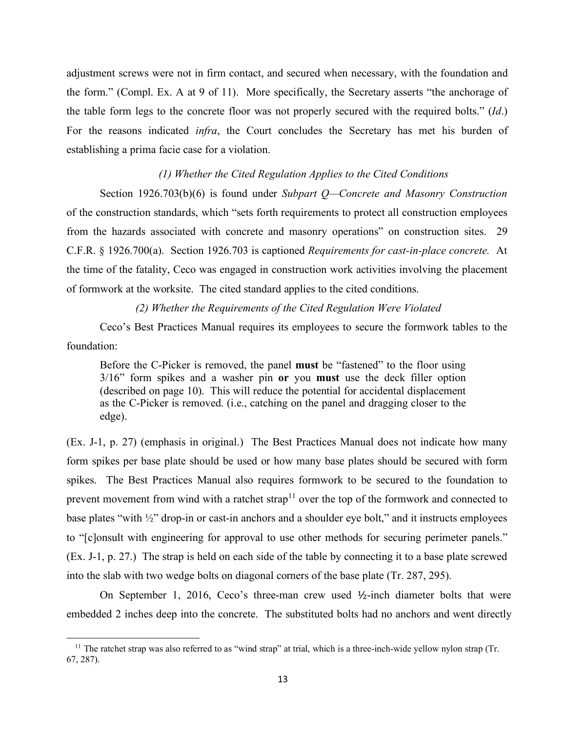adjustment screws were not in firm contact, and secured when necessary, with the foundation and the form." (Compl. Ex. A at 9 of 11). More specifically, the Secretary asserts "the anchorage of the table form legs to the concrete floor was not properly secured with the required bolts." (*Id*.) For the reasons indicated *infra*, the Court concludes the Secretary has met his burden of establishing a prima facie case for a violation.

### *(1) Whether the Cited Regulation Applies to the Cited Conditions*

Section 1926.703(b)(6) is found under *Subpart Q—Concrete and Masonry Construction*  of the construction standards, which "sets forth requirements to protect all construction employees from the hazards associated with concrete and masonry operations" on construction sites. 29 C.F.R. § 1926.700(a). Section 1926.703 is captioned *Requirements for cast-in-place concrete.* At the time of the fatality, Ceco was engaged in construction work activities involving the placement of formwork at the worksite. The cited standard applies to the cited conditions.

### *(2) Whether the Requirements of the Cited Regulation Were Violated*

Ceco's Best Practices Manual requires its employees to secure the formwork tables to the foundation:

Before the C-Picker is removed, the panel **must** be "fastened" to the floor using 3/16" form spikes and a washer pin **or** you **must** use the deck filler option (described on page 10). This will reduce the potential for accidental displacement as the C-Picker is removed. (i.e., catching on the panel and dragging closer to the edge).

(Ex. J-1, p. 27) (emphasis in original.) The Best Practices Manual does not indicate how many form spikes per base plate should be used or how many base plates should be secured with form spikes. The Best Practices Manual also requires formwork to be secured to the foundation to prevent movement from wind with a ratchet strap<sup>[11](#page-23-0)</sup> over the top of the formwork and connected to base plates "with ½" drop-in or cast-in anchors and a shoulder eye bolt," and it instructs employees to "[c]onsult with engineering for approval to use other methods for securing perimeter panels." (Ex. J-1, p. 27.) The strap is held on each side of the table by connecting it to a base plate screwed into the slab with two wedge bolts on diagonal corners of the base plate (Tr. 287, 295).

On September 1, 2016, Ceco's three-man crew used ½-inch diameter bolts that were embedded 2 inches deep into the concrete. The substituted bolts had no anchors and went directly

<span id="page-23-0"></span> $11$  The ratchet strap was also referred to as "wind strap" at trial, which is a three-inch-wide yellow nylon strap (Tr. 67, 287).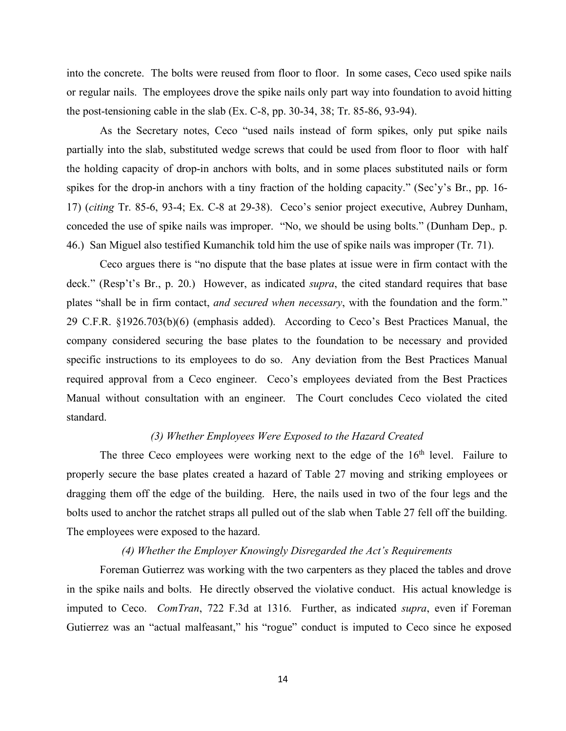into the concrete. The bolts were reused from floor to floor. In some cases, Ceco used spike nails or regular nails. The employees drove the spike nails only part way into foundation to avoid hitting the post-tensioning cable in the slab (Ex. C-8, pp. 30-34, 38; Tr. 85-86, 93-94).

As the Secretary notes, Ceco "used nails instead of form spikes, only put spike nails partially into the slab, substituted wedge screws that could be used from floor to floor with half the holding capacity of drop-in anchors with bolts, and in some places substituted nails or form spikes for the drop-in anchors with a tiny fraction of the holding capacity." (Sec'y's Br., pp. 16- 17) (*citing* Tr. 85-6, 93-4; Ex. C-8 at 29-38). Ceco's senior project executive, Aubrey Dunham, conceded the use of spike nails was improper. "No, we should be using bolts." (Dunham Dep.*,* p. 46.) San Miguel also testified Kumanchik told him the use of spike nails was improper (Tr. 71).

Ceco argues there is "no dispute that the base plates at issue were in firm contact with the deck." (Resp't's Br., p. 20.) However, as indicated *supra*, the cited standard requires that base plates "shall be in firm contact, *and secured when necessary*, with the foundation and the form." 29 C.F.R. §1926.703(b)(6) (emphasis added). According to Ceco's Best Practices Manual, the company considered securing the base plates to the foundation to be necessary and provided specific instructions to its employees to do so. Any deviation from the Best Practices Manual required approval from a Ceco engineer. Ceco's employees deviated from the Best Practices Manual without consultation with an engineer. The Court concludes Ceco violated the cited standard.

## *(3) Whether Employees Were Exposed to the Hazard Created*

The three Ceco employees were working next to the edge of the  $16<sup>th</sup>$  level. Failure to properly secure the base plates created a hazard of Table 27 moving and striking employees or dragging them off the edge of the building. Here, the nails used in two of the four legs and the bolts used to anchor the ratchet straps all pulled out of the slab when Table 27 fell off the building. The employees were exposed to the hazard.

### *(4) Whether the Employer Knowingly Disregarded the Act's Requirements*

Foreman Gutierrez was working with the two carpenters as they placed the tables and drove in the spike nails and bolts. He directly observed the violative conduct. His actual knowledge is imputed to Ceco. *ComTran*, 722 F.3d at 1316. Further, as indicated *supra*, even if Foreman Gutierrez was an "actual malfeasant," his "rogue" conduct is imputed to Ceco since he exposed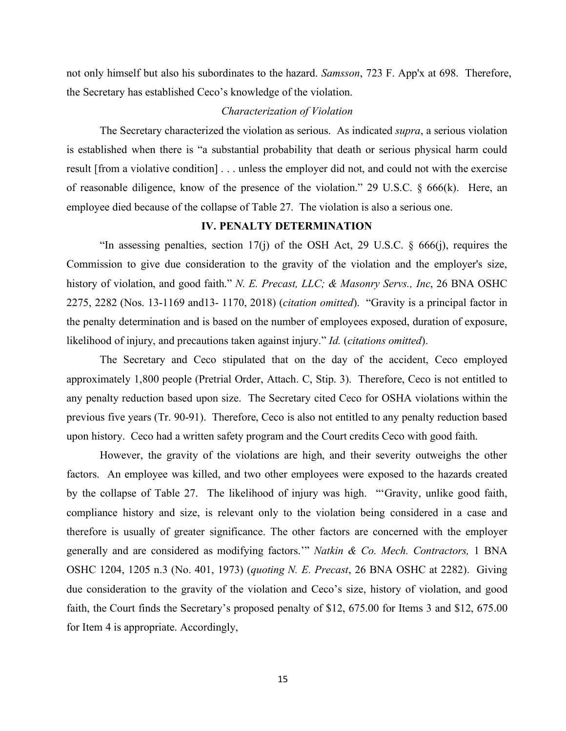not only himself but also his subordinates to the hazard. *Samsson*, 723 F. App'x at 698. Therefore, the Secretary has established Ceco's knowledge of the violation.

## *Characterization of Violation*

The Secretary characterized the violation as serious. As indicated *supra*, a serious violation is established when there is "a substantial probability that death or serious physical harm could result [from a violative condition] . . . unless the employer did not, and could not with the exercise of reasonable diligence, know of the presence of the violation." 29 U.S.C. § 666(k). Here, an employee died because of the collapse of Table 27. The violation is also a serious one.

### **IV. PENALTY DETERMINATION**

"In assessing penalties, section 17(j) of the OSH Act, 29 U.S.C.  $\S$  666(j), requires the Commission to give due consideration to the gravity of the violation and the employer's size, history of violation, and good faith." *N. E. Precast, LLC; & Masonry Servs., Inc*, 26 BNA OSHC 2275, 2282 (Nos. 13-1169 and13- 1170, 2018) (*citation omitted*). "Gravity is a principal factor in the penalty determination and is based on the number of employees exposed, duration of exposure, likelihood of injury, and precautions taken against injury." *Id.* (*citations omitted*).

The Secretary and Ceco stipulated that on the day of the accident, Ceco employed approximately 1,800 people (Pretrial Order, Attach. C, Stip. 3). Therefore, Ceco is not entitled to any penalty reduction based upon size. The Secretary cited Ceco for OSHA violations within the previous five years (Tr. 90-91). Therefore, Ceco is also not entitled to any penalty reduction based upon history. Ceco had a written safety program and the Court credits Ceco with good faith.

However, the gravity of the violations are high, and their severity outweighs the other factors. An employee was killed, and two other employees were exposed to the hazards created by the collapse of Table 27. The likelihood of injury was high. "'Gravity, unlike good faith, compliance history and size, is relevant only to the violation being considered in a case and therefore is usually of greater significance. The other factors are concerned with the employer generally and are considered as modifying factors.'" *Natkin & Co. Mech. Contractors,* 1 BNA OSHC 1204, 1205 n.3 (No. 401, 1973) (*quoting N. E. Precast*, 26 BNA OSHC at 2282). Giving due consideration to the gravity of the violation and Ceco's size, history of violation, and good faith, the Court finds the Secretary's proposed penalty of \$12, 675.00 for Items 3 and \$12, 675.00 for Item 4 is appropriate. Accordingly,